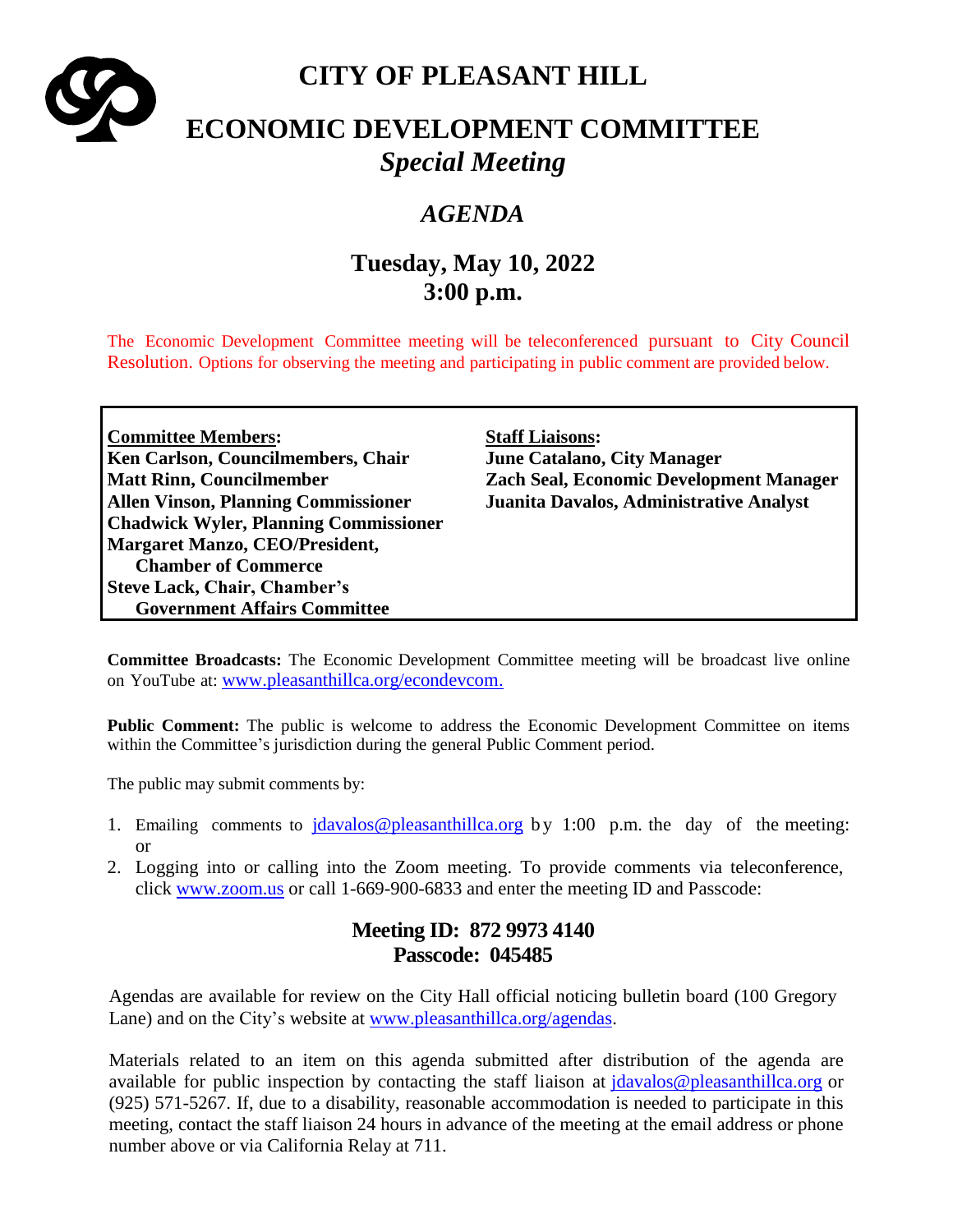

# **CITY OF PLEASANT HILL**

# **ECONOMIC DEVELOPMENT COMMITTEE** *Special Meeting*

## *AGENDA*

# **Tuesday, May 10, 2022 3:00 p.m.**

The Economic Development Committee meeting will be teleconferenced pursuant to City Council Resolution. Options for observing the meeting and participating in public comment are provided below.

**Committee Members: Staff Liaisons: Ken Carlson, Councilmembers, Chair June Catalano, City Manager Allen Vinson, Planning Commissioner Juanita Davalos, Administrative Analyst Chadwick Wyler, Planning Commissioner Margaret Manzo, CEO/President, Chamber of Commerce Steve Lack, Chair, Chamber's Government Affairs Committee**

**Matt Rinn, Councilmember Zach Seal, Economic Development Manager**

**Committee Broadcasts:** The Economic Development Committee meeting will be broadcast live online on YouTube at: [www.pleasanthillca.org/econdevcom.](http://www.pleasanthillca.org/econdevcom)

**Public Comment:** The public is welcome to address the Economic Development Committee on items within the Committee's jurisdiction during the general Public Comment period.

The public may submit comments by:

- 1. Emailing comments to  $jdavalos@pleasanthillca.org$  by 1:00 p.m. the day of the meeting: or
- 2. Logging into or calling into the Zoom meeting. To provide comments via teleconference, click [www.zoom.us](http://www.zoom.us/) or call 1-669-900-6833 and enter the meeting ID and Passcode:

## **Meeting ID: 872 9973 4140 Passcode: 045485**

Agendas are available for review on the City Hall official noticing bulletin board (100 Gregory Lane) and on the City's website at [www.pleasanthillca.org/agendas.](http://www.pleasanthillca.org/agendas)

Materials related to an item on this agenda submitted after distribution of the agenda are available for public inspection by contacting the staff liaison at [jdavalos@pleasanthillca.org](mailto:jdavalos@pleasanthillca.org) or (925) 571-5267. If, due to a disability, reasonable accommodation is needed to participate in this meeting, contact the staff liaison 24 hours in advance of the meeting at the email address or phone number above or via California Relay at 711.